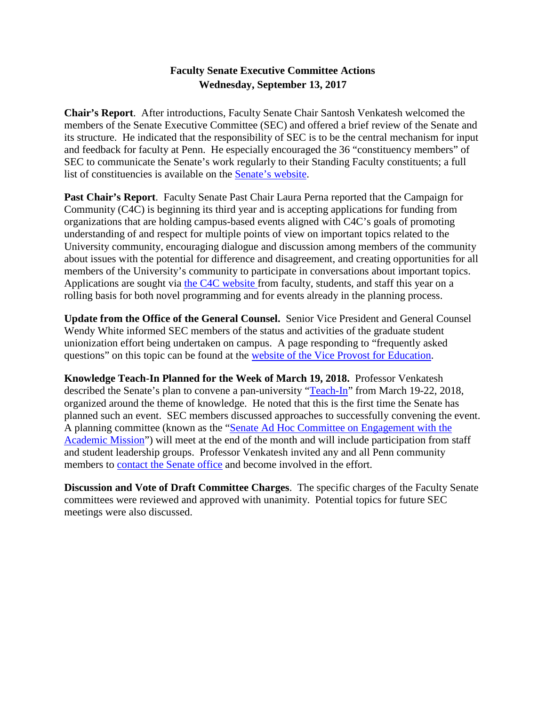# **Faculty Senate Executive Committee Actions Wednesday, September 13, 2017**

**Chair's Report**. After introductions, Faculty Senate Chair Santosh Venkatesh welcomed the members of the Senate Executive Committee (SEC) and offered a brief review of the Senate and its structure. He indicated that the responsibility of SEC is to be the central mechanism for input and feedback for faculty at Penn. He especially encouraged the 36 "constituency members" of SEC to communicate the Senate's work regularly to their Standing Faculty constituents; a full list of constituencies is available on the [Senate's website.](http://www.upenn.edu/faculty_senate/sec_members.html)

**Past Chair's Report**. Faculty Senate Past Chair Laura Perna reported that the Campaign for Community (C4C) is beginning its third year and is accepting applications for funding from organizations that are holding campus-based events aligned with C4C's goals of promoting understanding of and respect for multiple points of view on important topics related to the University community, encouraging dialogue and discussion among members of the community about issues with the potential for difference and disagreement, and creating opportunities for all members of the University's community to participate in conversations about important topics. Applications are sought via [the C4C website](https://provost.upenn.edu/initiatives/campaign/grants) from faculty, students, and staff this year on a rolling basis for both novel programming and for events already in the planning process.

**Update from the Office of the General Counsel.** Senior Vice President and General Counsel Wendy White informed SEC members of the status and activities of the graduate student unionization effort being undertaken on campus. A page responding to "frequently asked questions" on this topic can be found at the [website of the Vice Provost for Education.](https://provost.upenn.edu/education/graduate/faq)

**Knowledge Teach-In Planned for the Week of March 19, 2018.** Professor Venkatesh described the Senate's plan to convene a pan-university ["Teach-In"](http://www.upenn.edu/faculty_senate/teachin.html) from March 19-22, 2018, organized around the theme of knowledge. He noted that this is the first time the Senate has planned such an event. SEC members discussed approaches to successfully convening the event. A planning committee (known as the "Senate Ad Hoc Committee on Engagement with the [Academic](http://www.upenn.edu/faculty_senate/teachin.html) Mission") will meet at the end of the month and will include participation from staff and student leadership groups. Professor Venkatesh invited any and all Penn community members to [contact the Senate office](mailto:senate@pobox.upenn.edu?subject=Teach-In) and become involved in the effort.

**Discussion and Vote of Draft Committee Charges**. The specific charges of the Faculty Senate committees were reviewed and approved with unanimity. Potential topics for future SEC meetings were also discussed.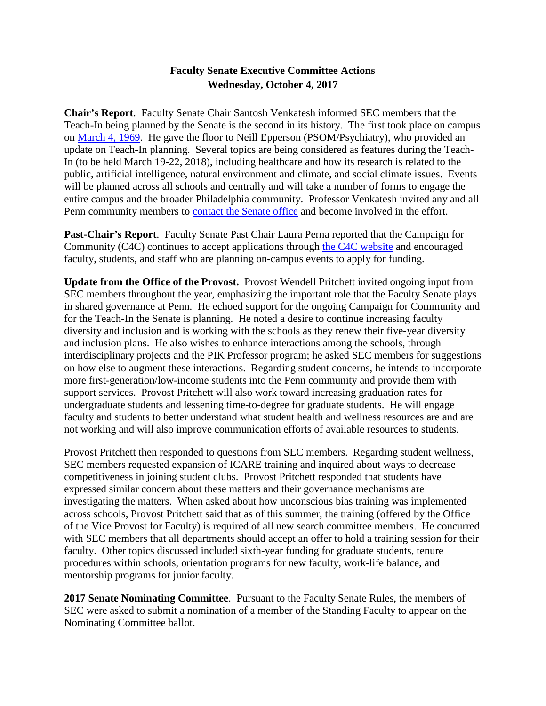## **Faculty Senate Executive Committee Actions Wednesday, October 4, 2017**

**Chair's Report**. Faculty Senate Chair Santosh Venkatesh informed SEC members that the Teach-In being planned by the Senate is the second in its history. The first took place on campus on [March 4, 1969.](http://www.library.upenn.edu/docs/kislak/dp/1969/1969_03_03.pdf) He gave the floor to Neill Epperson (PSOM/Psychiatry), who provided an update on Teach-In planning. Several topics are being considered as features during the Teach-In (to be held March 19-22, 2018), including healthcare and how its research is related to the public, artificial intelligence, natural environment and climate, and social climate issues. Events will be planned across all schools and centrally and will take a number of forms to engage the entire campus and the broader Philadelphia community. Professor Venkatesh invited any and all Penn community members to contact the [Senate office](mailto:senate@pobox.upenn.edu?subject=Teach-In) and become involved in the effort.

**Past-Chair's Report**. Faculty Senate Past Chair Laura Perna reported that the Campaign for Community (C4C) continues to accept applications through [the C4C website](https://provost.upenn.edu/initiatives/campaign/grants) and encouraged faculty, students, and staff who are planning on-campus events to apply for funding.

**Update from the Office of the Provost.** Provost Wendell Pritchett invited ongoing input from SEC members throughout the year, emphasizing the important role that the Faculty Senate plays in shared governance at Penn. He echoed support for the ongoing Campaign for Community and for the Teach-In the Senate is planning. He noted a desire to continue increasing faculty diversity and inclusion and is working with the schools as they renew their five-year diversity and inclusion plans. He also wishes to enhance interactions among the schools, through interdisciplinary projects and the PIK Professor program; he asked SEC members for suggestions on how else to augment these interactions. Regarding student concerns, he intends to incorporate more first-generation/low-income students into the Penn community and provide them with support services. Provost Pritchett will also work toward increasing graduation rates for undergraduate students and lessening time-to-degree for graduate students. He will engage faculty and students to better understand what student health and wellness resources are and are not working and will also improve communication efforts of available resources to students.

Provost Pritchett then responded to questions from SEC members. Regarding student wellness, SEC members requested expansion of ICARE training and inquired about ways to decrease competitiveness in joining student clubs. Provost Pritchett responded that students have expressed similar concern about these matters and their governance mechanisms are investigating the matters. When asked about how unconscious bias training was implemented across schools, Provost Pritchett said that as of this summer, the training (offered by the Office of the Vice Provost for Faculty) is required of all new search committee members. He concurred with SEC members that all departments should accept an offer to hold a training session for their faculty. Other topics discussed included sixth-year funding for graduate students, tenure procedures within schools, orientation programs for new faculty, work-life balance, and mentorship programs for junior faculty.

**2017 Senate Nominating Committee**. Pursuant to the Faculty Senate Rules, the members of SEC were asked to submit a nomination of a member of the Standing Faculty to appear on the Nominating Committee ballot.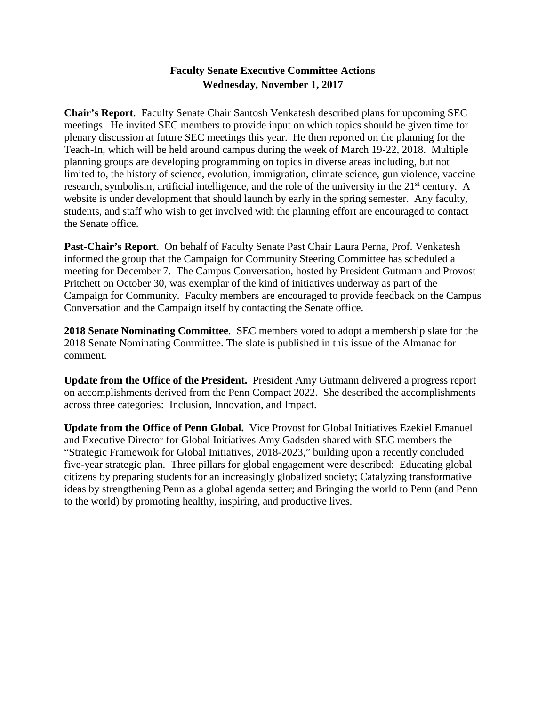# **Faculty Senate Executive Committee Actions Wednesday, November 1, 2017**

**Chair's Report**. Faculty Senate Chair Santosh Venkatesh described plans for upcoming SEC meetings. He invited SEC members to provide input on which topics should be given time for plenary discussion at future SEC meetings this year. He then reported on the planning for the Teach-In, which will be held around campus during the week of March 19-22, 2018. Multiple planning groups are developing programming on topics in diverse areas including, but not limited to, the history of science, evolution, immigration, climate science, gun violence, vaccine research, symbolism, artificial intelligence, and the role of the university in the 21<sup>st</sup> century. A website is under development that should launch by early in the spring semester. Any faculty, students, and staff who wish to get involved with the planning effort are encouraged to contact the Senate office.

**Past-Chair's Report**. On behalf of Faculty Senate Past Chair Laura Perna, Prof. Venkatesh informed the group that the Campaign for Community Steering Committee has scheduled a meeting for December 7. The Campus Conversation, hosted by President Gutmann and Provost Pritchett on October 30, was exemplar of the kind of initiatives underway as part of the Campaign for Community. Faculty members are encouraged to provide feedback on the Campus Conversation and the Campaign itself by contacting the Senate office.

**2018 Senate Nominating Committee**. SEC members voted to adopt a membership slate for the 2018 Senate Nominating Committee. The slate is published in this issue of the Almanac for comment.

**Update from the Office of the President.** President Amy Gutmann delivered a progress report on accomplishments derived from the Penn Compact 2022. She described the accomplishments across three categories: Inclusion, Innovation, and Impact.

**Update from the Office of Penn Global.** Vice Provost for Global Initiatives Ezekiel Emanuel and Executive Director for Global Initiatives Amy Gadsden shared with SEC members the "Strategic Framework for Global Initiatives, 2018-2023," building upon a recently concluded five-year strategic plan. Three pillars for global engagement were described: Educating global citizens by preparing students for an increasingly globalized society; Catalyzing transformative ideas by strengthening Penn as a global agenda setter; and Bringing the world to Penn (and Penn to the world) by promoting healthy, inspiring, and productive lives.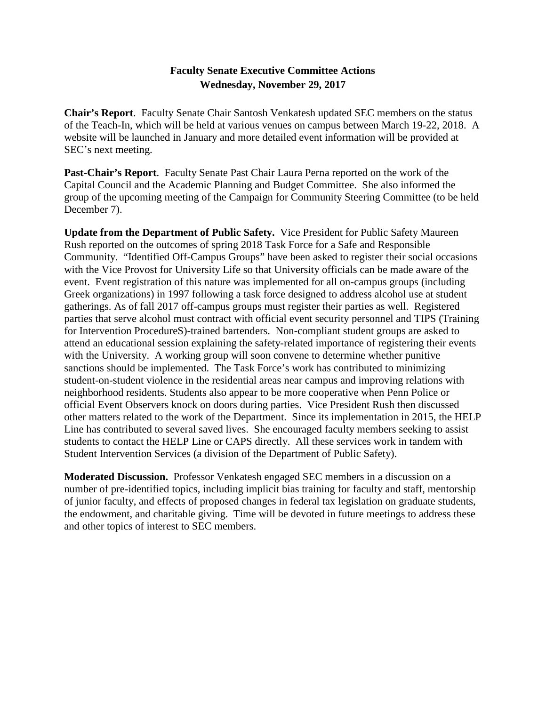#### **Faculty Senate Executive Committee Actions Wednesday, November 29, 2017**

**Chair's Report**. Faculty Senate Chair Santosh Venkatesh updated SEC members on the status of the Teach-In, which will be held at various venues on campus between March 19-22, 2018. A website will be launched in January and more detailed event information will be provided at SEC's next meeting.

**Past-Chair's Report**. Faculty Senate Past Chair Laura Perna reported on the work of the Capital Council and the Academic Planning and Budget Committee. She also informed the group of the upcoming meeting of the Campaign for Community Steering Committee (to be held December 7).

**Update from the Department of Public Safety.** Vice President for Public Safety Maureen Rush reported on the outcomes of spring 2018 Task Force for a Safe and Responsible Community. "Identified Off-Campus Groups" have been asked to register their social occasions with the Vice Provost for University Life so that University officials can be made aware of the event. Event registration of this nature was implemented for all on-campus groups (including Greek organizations) in 1997 following a task force designed to address alcohol use at student gatherings. As of fall 2017 off-campus groups must register their parties as well. Registered parties that serve alcohol must contract with official event security personnel and TIPS (Training for Intervention ProcedureS)-trained bartenders. Non-compliant student groups are asked to attend an educational session explaining the safety-related importance of registering their events with the University. A working group will soon convene to determine whether punitive sanctions should be implemented. The Task Force's work has contributed to minimizing student-on-student violence in the residential areas near campus and improving relations with neighborhood residents. Students also appear to be more cooperative when Penn Police or official Event Observers knock on doors during parties. Vice President Rush then discussed other matters related to the work of the Department. Since its implementation in 2015, the HELP Line has contributed to several saved lives. She encouraged faculty members seeking to assist students to contact the HELP Line or CAPS directly. All these services work in tandem with Student Intervention Services (a division of the Department of Public Safety).

**Moderated Discussion.** Professor Venkatesh engaged SEC members in a discussion on a number of pre-identified topics, including implicit bias training for faculty and staff, mentorship of junior faculty, and effects of proposed changes in federal tax legislation on graduate students, the endowment, and charitable giving. Time will be devoted in future meetings to address these and other topics of interest to SEC members.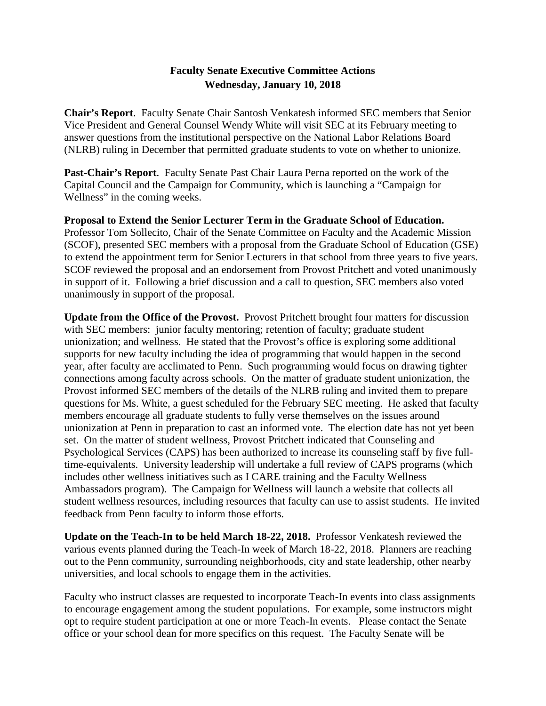# **Faculty Senate Executive Committee Actions Wednesday, January 10, 2018**

**Chair's Report**. Faculty Senate Chair Santosh Venkatesh informed SEC members that Senior Vice President and General Counsel Wendy White will visit SEC at its February meeting to answer questions from the institutional perspective on the National Labor Relations Board (NLRB) ruling in December that permitted graduate students to vote on whether to unionize.

**Past-Chair's Report**. Faculty Senate Past Chair Laura Perna reported on the work of the Capital Council and the Campaign for Community, which is launching a "Campaign for Wellness" in the coming weeks.

**Proposal to Extend the Senior Lecturer Term in the Graduate School of Education.**  Professor Tom Sollecito, Chair of the Senate Committee on Faculty and the Academic Mission (SCOF), presented SEC members with a proposal from the Graduate School of Education (GSE) to extend the appointment term for Senior Lecturers in that school from three years to five years. SCOF reviewed the proposal and an endorsement from Provost Pritchett and voted unanimously in support of it. Following a brief discussion and a call to question, SEC members also voted unanimously in support of the proposal.

**Update from the Office of the Provost.** Provost Pritchett brought four matters for discussion with SEC members: junior faculty mentoring; retention of faculty; graduate student unionization; and wellness. He stated that the Provost's office is exploring some additional supports for new faculty including the idea of programming that would happen in the second year, after faculty are acclimated to Penn. Such programming would focus on drawing tighter connections among faculty across schools. On the matter of graduate student unionization, the Provost informed SEC members of the details of the NLRB ruling and invited them to prepare questions for Ms. White, a guest scheduled for the February SEC meeting. He asked that faculty members encourage all graduate students to fully verse themselves on the issues around unionization at Penn in preparation to cast an informed vote. The election date has not yet been set. On the matter of student wellness, Provost Pritchett indicated that Counseling and Psychological Services (CAPS) has been authorized to increase its counseling staff by five fulltime-equivalents. University leadership will undertake a full review of CAPS programs (which includes other wellness initiatives such as I CARE training and the Faculty Wellness Ambassadors program). The Campaign for Wellness will launch a website that collects all student wellness resources, including resources that faculty can use to assist students. He invited feedback from Penn faculty to inform those efforts.

**Update on the Teach-In to be held March 18-22, 2018.** Professor Venkatesh reviewed the various events planned during the Teach-In week of March 18-22, 2018. Planners are reaching out to the Penn community, surrounding neighborhoods, city and state leadership, other nearby universities, and local schools to engage them in the activities.

Faculty who instruct classes are requested to incorporate Teach-In events into class assignments to encourage engagement among the student populations. For example, some instructors might opt to require student participation at one or more Teach-In events. Please contact the Senate office or your school dean for more specifics on this request. The Faculty Senate will be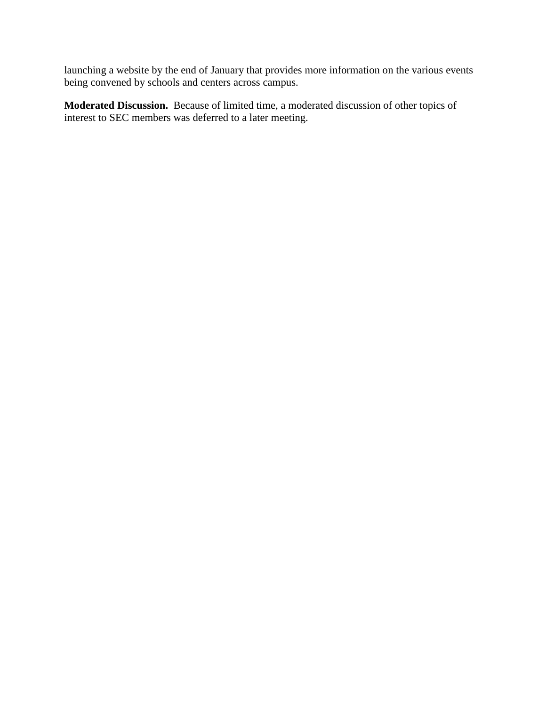launching a website by the end of January that provides more information on the various events being convened by schools and centers across campus.

**Moderated Discussion.** Because of limited time, a moderated discussion of other topics of interest to SEC members was deferred to a later meeting.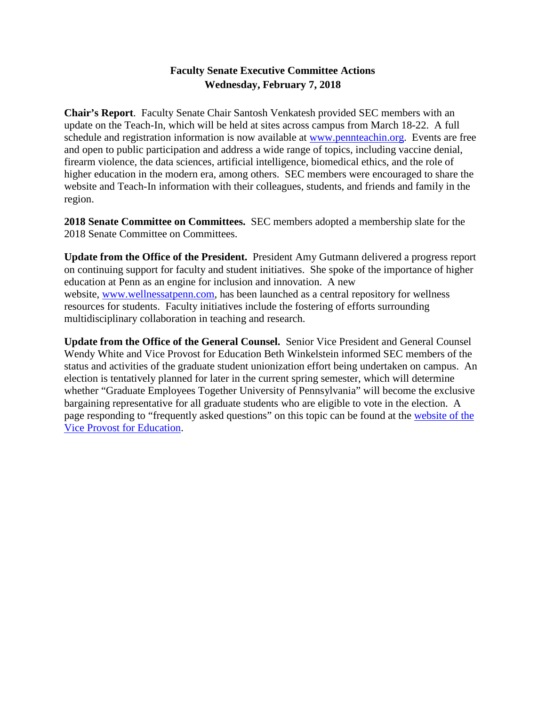# **Faculty Senate Executive Committee Actions Wednesday, February 7, 2018**

**Chair's Report**. Faculty Senate Chair Santosh Venkatesh provided SEC members with an update on the Teach-In, which will be held at sites across campus from March 18-22. A full schedule and registration information is now available at [www.pennteachin.org.](http://www.pennteachin.org/) Events are free and open to public participation and address a wide range of topics, including vaccine denial, firearm violence, the data sciences, artificial intelligence, biomedical ethics, and the role of higher education in the modern era, among others. SEC members were encouraged to share the website and Teach-In information with their colleagues, students, and friends and family in the region.

**2018 Senate Committee on Committees.** SEC members adopted a membership slate for the 2018 Senate Committee on Committees.

**Update from the Office of the President.** President Amy Gutmann delivered a progress report on continuing support for faculty and student initiatives. She spoke of the importance of higher education at Penn as an engine for inclusion and innovation. A new website, [www.wellnessatpenn.com,](http://www.wellnessatpenn.com/) has been launched as a central repository for wellness resources for students. Faculty initiatives include the fostering of efforts surrounding multidisciplinary collaboration in teaching and research.

**Update from the Office of the General Counsel.** Senior Vice President and General Counsel Wendy White and Vice Provost for Education Beth Winkelstein informed SEC members of the status and activities of the graduate student unionization effort being undertaken on campus. An election is tentatively planned for later in the current spring semester, which will determine whether "Graduate Employees Together University of Pennsylvania" will become the exclusive bargaining representative for all graduate students who are eligible to vote in the election. A page responding to "frequently asked questions" on this topic can be found at the [website of the](https://provost.upenn.edu/education/graduate/faq)  [Vice Provost for Education.](https://provost.upenn.edu/education/graduate/faq)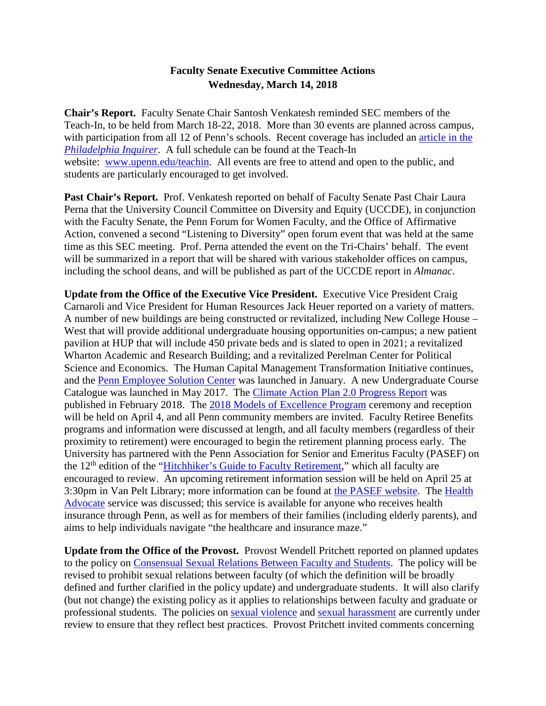#### **Faculty Senate Executive Committee Actions Wednesday, March 14, 2018**

**Chair's Report.** Faculty Senate Chair Santosh Venkatesh reminded SEC members of the Teach-In, to be held from March 18-22, 2018. More than 30 events are planned across campus, with participation from all 12 of Penn's schools. Recent coverage has included an [article in the](http://www.philly.com/philly/education/univeristy-of-pennsylvania-teach-in-debate-race-firearms-immigration-20180313.html)  *[Philadelphia Inquirer](http://www.philly.com/philly/education/univeristy-of-pennsylvania-teach-in-debate-race-firearms-immigration-20180313.html)*. A full schedule can be found at the Teach-In website: [www.upenn.edu/teachin.](http://www.upenn.edu/teachin) All events are free to attend and open to the public, and students are particularly encouraged to get involved.

Past Chair's Report. Prof. Venkatesh reported on behalf of Faculty Senate Past Chair Laura Perna that the University Council Committee on Diversity and Equity (UCCDE), in conjunction with the Faculty Senate, the Penn Forum for Women Faculty, and the Office of Affirmative Action, convened a second "Listening to Diversity" open forum event that was held at the same time as this SEC meeting. Prof. Perna attended the event on the Tri-Chairs' behalf. The event will be summarized in a report that will be shared with various stakeholder offices on campus, including the school deans, and will be published as part of the UCCDE report in *Almanac*.

**Update from the Office of the Executive Vice President.** Executive Vice President Craig Carnaroli and Vice President for Human Resources Jack Heuer reported on a variety of matters. A number of new buildings are being constructed or revitalized, including New College House – West that will provide additional undergraduate housing opportunities on-campus; a new patient pavilion at HUP that will include 450 private beds and is slated to open in 2021; a revitalized Wharton Academic and Research Building; and a revitalized Perelman Center for Political Science and Economics. The Human Capital Management Transformation Initiative continues, and the [Penn Employee Solution Center](https://www.hr.upenn.edu/hcm/penn-employee-solution-center) was launched in January. A new Undergraduate Course Catalogue was launched in May 2017. The [Climate Action Plan 2.0 Progress Report](https://www.sustainability.upenn.edu/our-commitment/our-plan) was published in February 2018. The [2018 Models of Excellence Program](https://www.hr.upenn.edu/PennHR/penn-community/awards-and-appreciation/models-of-excellence) ceremony and reception will be held on April 4, and all Penn community members are invited. Faculty Retiree Benefits programs and information were discussed at length, and all faculty members (regardless of their proximity to retirement) were encouraged to begin the retirement planning process early. The University has partnered with the Penn Association for Senior and Emeritus Faculty (PASEF) on the 12<sup>th</sup> edition of the ["Hitchhiker's Guide to Faculty Retirement,](http://www.upenn.edu/emeritus/planning/)" which all faculty are encouraged to review. An upcoming retirement information session will be held on April 25 at 3:30pm in Van Pelt Library; more information can be found at [the PASEF website.](http://www.upenn.edu/emeritus/) The [Health](https://www.hr.upenn.edu/docs/default-source/benefits/health-advocate-brochure.pdf?sfvrsn=27633f7a_2)  [Advocate](https://www.hr.upenn.edu/docs/default-source/benefits/health-advocate-brochure.pdf?sfvrsn=27633f7a_2) service was discussed; this service is available for anyone who receives health insurance through Penn, as well as for members of their families (including elderly parents), and aims to help individuals navigate "the healthcare and insurance maze."

**Update from the Office of the Provost.** Provost Wendell Pritchett reported on planned updates to the policy on [Consensual Sexual Relations Between Faculty and Students.](https://provost.upenn.edu/policies/faculty-handbook/other-policies/vi-f) The policy will be revised to prohibit sexual relations between faculty (of which the definition will be broadly defined and further clarified in the policy update) and undergraduate students. It will also clarify (but not change) the existing policy as it applies to relationships between faculty and graduate or professional students. The policies on [sexual violence](https://almanac.upenn.edu/archive/between/2016/070116-supplement.pdf) and [sexual harassment](https://almanac.upenn.edu/archive/between/2016/070116-supplement.pdf) are currently under review to ensure that they reflect best practices. Provost Pritchett invited comments concerning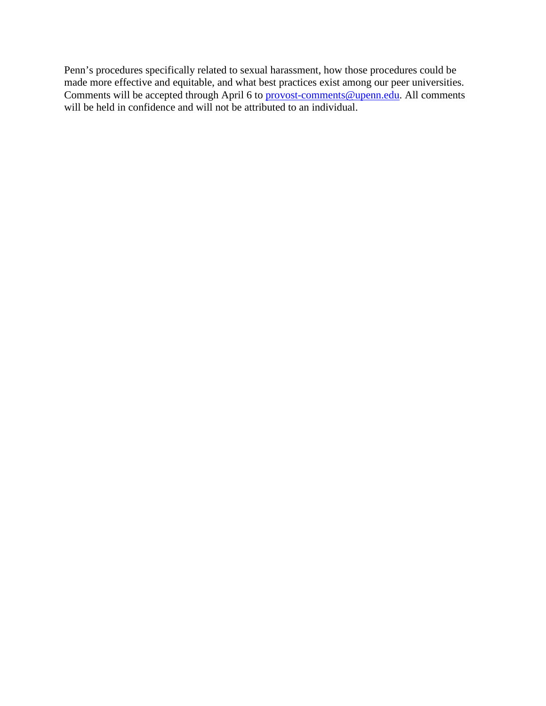Penn's procedures specifically related to sexual harassment, how those procedures could be made more effective and equitable, and what best practices exist among our peer universities. Comments will be accepted through April 6 to **provost-comments@upenn.edu**. All comments will be held in confidence and will not be attributed to an individual.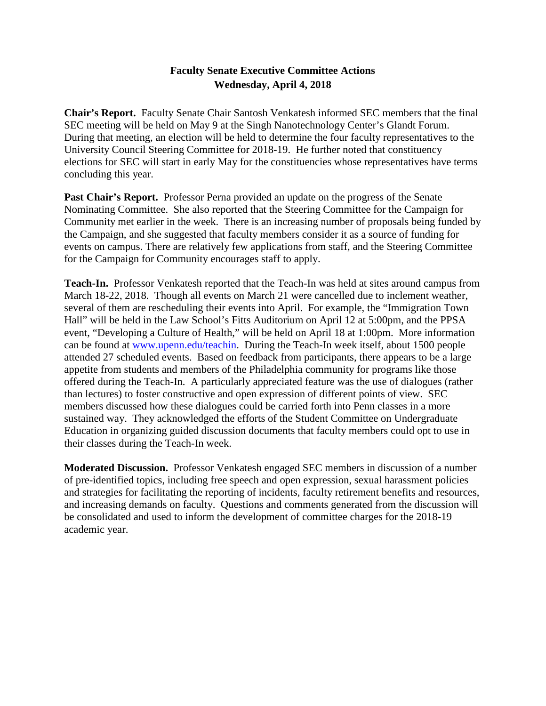# **Faculty Senate Executive Committee Actions Wednesday, April 4, 2018**

**Chair's Report.** Faculty Senate Chair Santosh Venkatesh informed SEC members that the final SEC meeting will be held on May 9 at the Singh Nanotechnology Center's Glandt Forum. During that meeting, an election will be held to determine the four faculty representatives to the University Council Steering Committee for 2018-19. He further noted that constituency elections for SEC will start in early May for the constituencies whose representatives have terms concluding this year.

Past Chair's Report. Professor Perna provided an update on the progress of the Senate Nominating Committee. She also reported that the Steering Committee for the Campaign for Community met earlier in the week. There is an increasing number of proposals being funded by the Campaign, and she suggested that faculty members consider it as a source of funding for events on campus. There are relatively few applications from staff, and the Steering Committee for the Campaign for Community encourages staff to apply.

**Teach-In.** Professor Venkatesh reported that the Teach-In was held at sites around campus from March 18-22, 2018. Though all events on March 21 were cancelled due to inclement weather, several of them are rescheduling their events into April. For example, the "Immigration Town Hall" will be held in the Law School's Fitts Auditorium on April 12 at 5:00pm, and the PPSA event, "Developing a Culture of Health," will be held on April 18 at 1:00pm. More information can be found at [www.upenn.edu/teachin.](http://www.upenn.edu/teachin) During the Teach-In week itself, about 1500 people attended 27 scheduled events. Based on feedback from participants, there appears to be a large appetite from students and members of the Philadelphia community for programs like those offered during the Teach-In. A particularly appreciated feature was the use of dialogues (rather than lectures) to foster constructive and open expression of different points of view. SEC members discussed how these dialogues could be carried forth into Penn classes in a more sustained way. They acknowledged the efforts of the Student Committee on Undergraduate Education in organizing guided discussion documents that faculty members could opt to use in their classes during the Teach-In week.

**Moderated Discussion.** Professor Venkatesh engaged SEC members in discussion of a number of pre-identified topics, including free speech and open expression, sexual harassment policies and strategies for facilitating the reporting of incidents, faculty retirement benefits and resources, and increasing demands on faculty. Questions and comments generated from the discussion will be consolidated and used to inform the development of committee charges for the 2018-19 academic year.